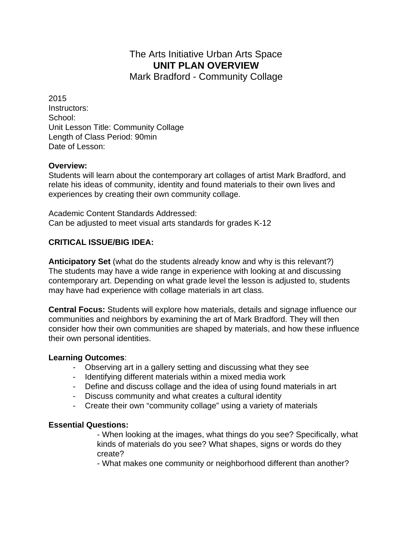# The Arts Initiative Urban Arts Space **UNIT PLAN OVERVIEW**

Mark Bradford - Community Collage

2015 Instructors: School: Unit Lesson Title: Community Collage Length of Class Period: 90min Date of Lesson:

#### **Overview:**

Students will learn about the contemporary art collages of artist Mark Bradford, and relate his ideas of community, identity and found materials to their own lives and experiences by creating their own community collage.

Academic Content Standards Addressed: Can be adjusted to meet visual arts standards for grades K-12

#### **CRITICAL ISSUE/BIG IDEA:**

**Anticipatory Set** (what do the students already know and why is this relevant?) The students may have a wide range in experience with looking at and discussing contemporary art. Depending on what grade level the lesson is adjusted to, students may have had experience with collage materials in art class.

**Central Focus:** Students will explore how materials, details and signage influence our communities and neighbors by examining the art of Mark Bradford. They will then consider how their own communities are shaped by materials, and how these influence their own personal identities.

#### **Learning Outcomes**:

- Observing art in a gallery setting and discussing what they see
- Identifying different materials within a mixed media work
- Define and discuss collage and the idea of using found materials in art
- Discuss community and what creates a cultural identity
- Create their own "community collage" using a variety of materials

#### **Essential Questions:**

- When looking at the images, what things do you see? Specifically, what kinds of materials do you see? What shapes, signs or words do they create?

- What makes one community or neighborhood different than another?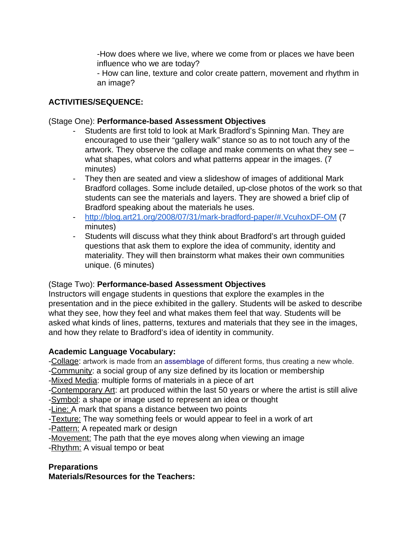-How does where we live, where we come from or places we have been influence who we are today?

- How can line, texture and color create pattern, movement and rhythm in an image?

### **ACTIVITIES/SEQUENCE:**

### (Stage One): **Performance-based Assessment Objectives**

- Students are first told to look at Mark Bradford's Spinning Man. They are encouraged to use their "gallery walk" stance so as to not touch any of the artwork. They observe the collage and make comments on what they see – what shapes, what colors and what patterns appear in the images. (7 minutes)
- They then are seated and view a slideshow of images of additional Mark Bradford collages. Some include detailed, up-close photos of the work so that students can see the materials and layers. They are showed a brief clip of Bradford speaking about the materials he uses.
- <http://blog.art21.org/2008/07/31/mark-bradford-paper/#.VcuhoxDF-OM> (7 minutes)
- Students will discuss what they think about Bradford's art through guided questions that ask them to explore the idea of community, identity and materiality. They will then brainstorm what makes their own communities unique. (6 minutes)

### (Stage Two): **Performance-based Assessment Objectives**

Instructors will engage students in questions that explore the examples in the presentation and in the piece exhibited in the gallery. Students will be asked to describe what they see, how they feel and what makes them feel that way. Students will be asked what kinds of lines, patterns, textures and materials that they see in the images, and how they relate to Bradford's idea of identity in community.

### **Academic Language Vocabulary:**

-Collage: artwork is made from an [assemblage](https://en.wikipedia.org/wiki/Assemblage_(art)) of different forms, thus creating a new whole.

-Community: a social group of any size defined by its location or membership

-Mixed Media: multiple forms of materials in a piece of art

-Contemporary Art: art produced within the last 50 years or where the artist is still alive -Symbol: a shape or image used to represent an idea or thought

-Line: A mark that spans a distance between two points

-Texture: The way something feels or would appear to feel in a work of art

-Pattern: A repeated mark or design

-Movement: The path that the eye moves along when viewing an image -Rhythm: A visual tempo or beat

### **Preparations**

**Materials/Resources for the Teachers:**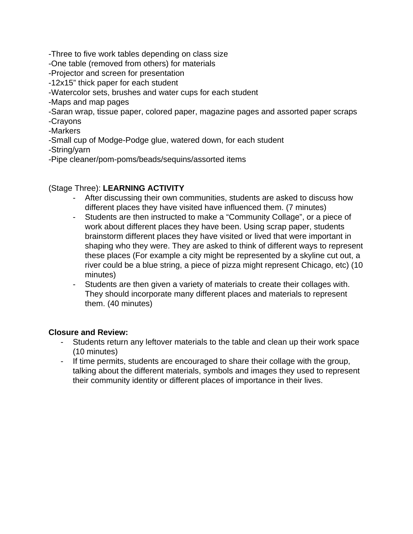-Three to five work tables depending on class size

-One table (removed from others) for materials

-Projector and screen for presentation

-12x15" thick paper for each student

-Watercolor sets, brushes and water cups for each student

-Maps and map pages

-Saran wrap, tissue paper, colored paper, magazine pages and assorted paper scraps -Crayons

-Markers

-Small cup of Modge-Podge glue, watered down, for each student

-String/yarn

-Pipe cleaner/pom-poms/beads/sequins/assorted items

#### (Stage Three): **LEARNING ACTIVITY**

- After discussing their own communities, students are asked to discuss how different places they have visited have influenced them. (7 minutes)
- Students are then instructed to make a "Community Collage", or a piece of work about different places they have been. Using scrap paper, students brainstorm different places they have visited or lived that were important in shaping who they were. They are asked to think of different ways to represent these places (For example a city might be represented by a skyline cut out, a river could be a blue string, a piece of pizza might represent Chicago, etc) (10 minutes)
- Students are then given a variety of materials to create their collages with. They should incorporate many different places and materials to represent them. (40 minutes)

#### **Closure and Review:**

- Students return any leftover materials to the table and clean up their work space (10 minutes)
- If time permits, students are encouraged to share their collage with the group, talking about the different materials, symbols and images they used to represent their community identity or different places of importance in their lives.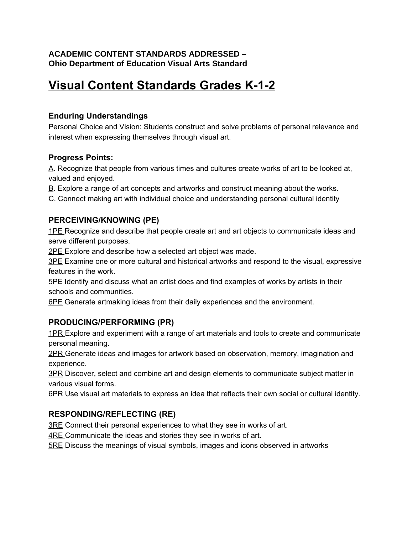### **ACADEMIC CONTENT STANDARDS ADDRESSED – Ohio Department of Education Visual Arts Standard**

# **Visual Content Standards Grades K-1-2**

# **Enduring Understandings**

Personal Choice and Vision: Students construct and solve problems of personal relevance and interest when expressing themselves through visual art.

#### **Progress Points:**

A. Recognize that people from various times and cultures create works of art to be looked at, valued and enjoyed.

B. Explore a range of art concepts and artworks and construct meaning about the works.

C. Connect making art with individual choice and understanding personal cultural identity

# **PERCEIVING/KNOWING (PE)**

1PE Recognize and describe that people create art and art objects to communicate ideas and serve different purposes.

2PE Explore and describe how a selected art object was made.

3PE Examine one or more cultural and historical artworks and respond to the visual, expressive features in the work.

5PE Identify and discuss what an artist does and find examples of works by artists in their schools and communities.

6PE Generate artmaking ideas from their daily experiences and the environment.

# **PRODUCING/PERFORMING (PR)**

1PR Explore and experiment with a range of art materials and tools to create and communicate personal meaning.

2PR Generate ideas and images for artwork based on observation, memory, imagination and experience.

**3PR** Discover, select and combine art and design elements to communicate subject matter in various visual forms.

6PR Use visual art materials to express an idea that reflects their own social or cultural identity.

# **RESPONDING/REFLECTING (RE)**

3RE Connect their personal experiences to what they see in works of art.

4RE Communicate the ideas and stories they see in works of art.

5RE Discuss the meanings of visual symbols, images and icons observed in artworks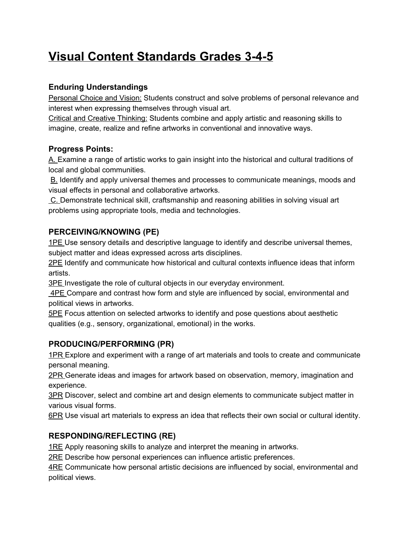# **Visual Content Standards Grades 345**

# **Enduring Understandings**

Personal Choice and Vision: Students construct and solve problems of personal relevance and interest when expressing themselves through visual art.

Critical and Creative Thinking: Students combine and apply artistic and reasoning skills to imagine, create, realize and refine artworks in conventional and innovative ways.

# **Progress Points:**

A. Examine a range of artistic works to gain insight into the historical and cultural traditions of local and global communities.

B. Identify and apply universal themes and processes to communicate meanings, moods and visual effects in personal and collaborative artworks.

C. Demonstrate technical skill, craftsmanship and reasoning abilities in solving visual art problems using appropriate tools, media and technologies.

# **PERCEIVING/KNOWING (PE)**

1PE Use sensory details and descriptive language to identify and describe universal themes, subject matter and ideas expressed across arts disciplines.

2PE Identify and communicate how historical and cultural contexts influence ideas that inform artists.

3PE Investigate the role of cultural objects in our everyday environment.

4PE Compare and contrast how form and style are influenced by social, environmental and political views in artworks.

5PE Focus attention on selected artworks to identify and pose questions about aesthetic qualities (e.g., sensory, organizational, emotional) in the works.

# **PRODUCING/PERFORMING (PR)**

1PR Explore and experiment with a range of art materials and tools to create and communicate personal meaning.

2PR Generate ideas and images for artwork based on observation, memory, imagination and experience.

3PR Discover, select and combine art and design elements to communicate subject matter in various visual forms.

6PR Use visual art materials to express an idea that reflects their own social or cultural identity.

# **RESPONDING/REFLECTING (RE)**

1RE Apply reasoning skills to analyze and interpret the meaning in artworks.

2RE Describe how personal experiences can influence artistic preferences.

ARE Communicate how personal artistic decisions are influenced by social, environmental and political views.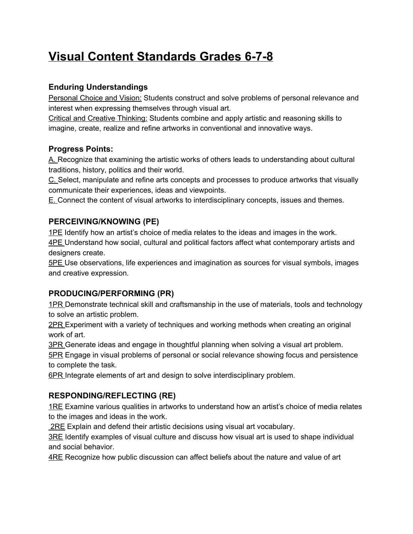# **Visual Content Standards Grades 6-7-8**

# **Enduring Understandings**

Personal Choice and Vision: Students construct and solve problems of personal relevance and interest when expressing themselves through visual art.

Critical and Creative Thinking: Students combine and apply artistic and reasoning skills to imagine, create, realize and refine artworks in conventional and innovative ways.

# **Progress Points:**

A. Recognize that examining the artistic works of others leads to understanding about cultural traditions, history, politics and their world.

C. Select, manipulate and refine arts concepts and processes to produce artworks that visually communicate their experiences, ideas and viewpoints.

E. Connect the content of visual artworks to interdisciplinary concepts, issues and themes.

# **PERCEIVING/KNOWING (PE)**

1PE Identify how an artist's choice of media relates to the ideas and images in the work. 4PE Understand how social, cultural and political factors affect what contemporary artists and designers create.

5PE Use observations, life experiences and imagination as sources for visual symbols, images and creative expression.

# **PRODUCING/PERFORMING (PR)**

1PR Demonstrate technical skill and craftsmanship in the use of materials, tools and technology to solve an artistic problem.

2PR Experiment with a variety of techniques and working methods when creating an original work of art.

3PR Generate ideas and engage in thoughtful planning when solving a visual art problem.

5PR Engage in visual problems of personal or social relevance showing focus and persistence to complete the task.

6PR Integrate elements of art and design to solve interdisciplinary problem.

# **RESPONDING/REFLECTING (RE)**

1RE Examine various qualities in artworks to understand how an artist's choice of media relates to the images and ideas in the work.

2RE Explain and defend their artistic decisions using visual art vocabulary.

**3RE** Identify examples of visual culture and discuss how visual art is used to shape individual and social behavior.

ARE Recognize how public discussion can affect beliefs about the nature and value of art